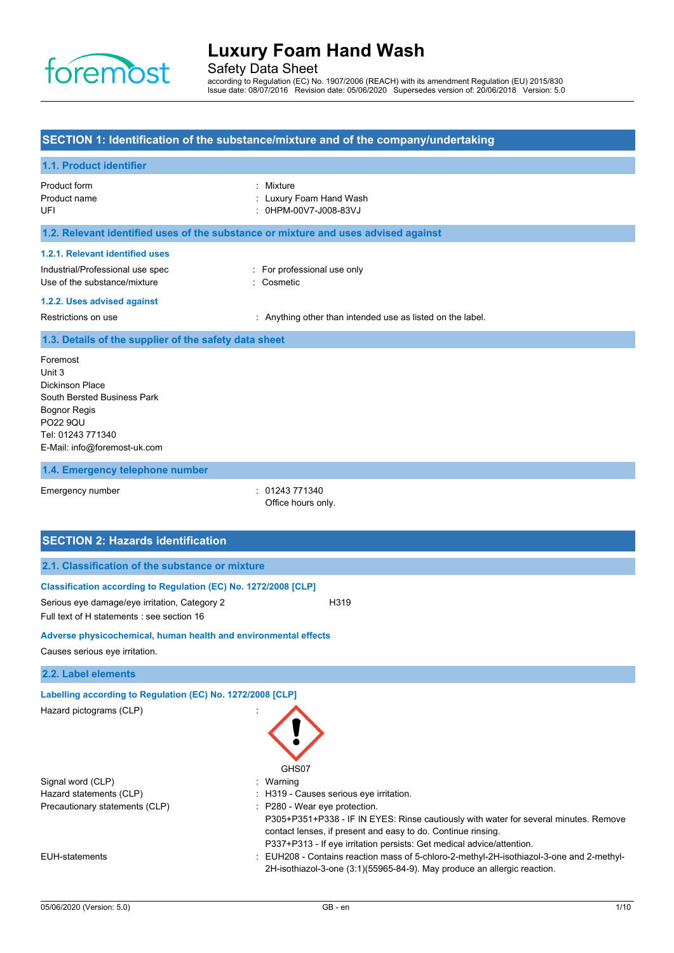

Safety Data Sheet

according to Regulation (EC) No. 1907/2006 (REACH) with its amendment Regulation (EU) 2015/830 Issue date: 08/07/2016 Revision date: 05/06/2020 Supersedes version of: 20/06/2018 Version: 5.0

### **SECTION 1: Identification of the substance/mixture and of the company/undertaking**

### **1.1. Product identifier**

| Product form<br>Product name<br>UFI                                                                 | : Mixture<br>: Luxury Foam Hand Wash<br>: 0HPM-00V7-J008-83VJ                      |
|-----------------------------------------------------------------------------------------------------|------------------------------------------------------------------------------------|
|                                                                                                     | 1.2. Relevant identified uses of the substance or mixture and uses advised against |
| 1.2.1. Relevant identified uses<br>Industrial/Professional use spec<br>Use of the substance/mixture | : For professional use only<br>: Cosmetic                                          |
| 1.2.2. Uses advised against<br>Restrictions on use                                                  | : Anything other than intended use as listed on the label.                         |
| 1.3. Details of the supplier of the safety data sheet                                               |                                                                                    |
| Foremost<br>Unit 3<br>Dickinson Place                                                               |                                                                                    |

kinson Pla South Bersted Business Park Bognor Regis PO22 9QU Tel: 01243 771340 E-Mail: info@foremost-uk.com

#### **1.4. Emergency telephone number**

Emergency number : 01243 771340 Office hours only.

## **SECTION 2: Hazards identification 2.1. Classification of the substance or mixture Classification according to Regulation (EC) No. 1272/2008 [CLP]** Serious eye damage/eye irritation, Category 2 H319 Full text of H statements : see section 16 **Adverse physicochemical, human health and environmental effects** Causes serious eye irritation. **2.2. Label elements Labelling according to Regulation (EC) No. 1272/2008 [CLP]** Hazard pictograms (CLP) : GHS07 Signal word (CLP)  $\qquad \qquad$ : Warning Hazard statements (CLP)  $\qquad \qquad$ : H319 - Causes serious eye irritation. Precautionary statements (CLP) : P280 - Wear eye protection. P305+P351+P338 - IF IN EYES: Rinse cautiously with water for several minutes. Remove contact lenses, if present and easy to do. Continue rinsing. P337+P313 - If eye irritation persists: Get medical advice/attention. EUH-statements : EUH208 - Contains reaction mass of 5-chloro-2-methyl-2H-isothiazol-3-one and 2-methyl-

2H-isothiazol-3-one (3:1)(55965-84-9). May produce an allergic reaction.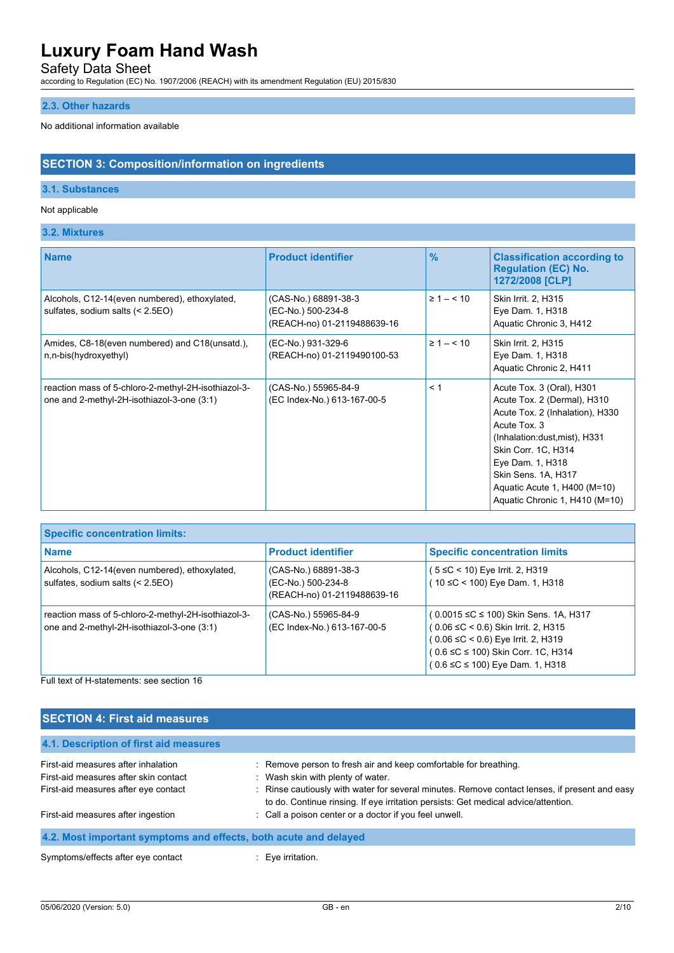Safety Data Sheet

according to Regulation (EC) No. 1907/2006 (REACH) with its amendment Regulation (EU) 2015/830

#### **2.3. Other hazards**

No additional information available

### **SECTION 3: Composition/information on ingredients**

### **3.1. Substances**

#### Not applicable

#### **3.2. Mixtures**

| <b>Name</b>                                                                                       | <b>Product identifier</b>                                                 | $\frac{9}{6}$      | <b>Classification according to</b><br><b>Regulation (EC) No.</b><br>1272/2008 [CLP]                                                                                                                                                                                              |
|---------------------------------------------------------------------------------------------------|---------------------------------------------------------------------------|--------------------|----------------------------------------------------------------------------------------------------------------------------------------------------------------------------------------------------------------------------------------------------------------------------------|
| Alcohols, C12-14(even numbered), ethoxylated,<br>sulfates, sodium salts (< 2.5EO)                 | (CAS-No.) 68891-38-3<br>(EC-No.) 500-234-8<br>(REACH-no) 01-2119488639-16 | $\geq 1 - \leq 10$ | Skin Irrit. 2, H315<br>Eye Dam. 1, H318<br>Aquatic Chronic 3, H412                                                                                                                                                                                                               |
| Amides, C8-18(even numbered) and C18(unsatd.),<br>n,n-bis(hydroxyethyl)                           | (EC-No.) 931-329-6<br>(REACH-no) 01-2119490100-53                         | $\geq 1 - \leq 10$ | Skin Irrit. 2, H315<br>Eye Dam. 1, H318<br>Aquatic Chronic 2, H411                                                                                                                                                                                                               |
| reaction mass of 5-chloro-2-methyl-2H-isothiazol-3-<br>one and 2-methyl-2H-isothiazol-3-one (3:1) | (CAS-No.) 55965-84-9<br>(EC Index-No.) 613-167-00-5                       | < 1                | Acute Tox. 3 (Oral), H301<br>Acute Tox. 2 (Dermal), H310<br>Acute Tox. 2 (Inhalation), H330<br>Acute Tox. 3<br>(Inhalation:dust, mist), H331<br>Skin Corr. 1C, H314<br>Eye Dam. 1, H318<br>Skin Sens. 1A, H317<br>Aquatic Acute 1, H400 (M=10)<br>Aquatic Chronic 1, H410 (M=10) |

| <b>Specific concentration limits:</b>                                                             |                                                                           |                                                                                                                                                                                                    |
|---------------------------------------------------------------------------------------------------|---------------------------------------------------------------------------|----------------------------------------------------------------------------------------------------------------------------------------------------------------------------------------------------|
| <b>Name</b>                                                                                       | <b>Product identifier</b>                                                 | <b>Specific concentration limits</b>                                                                                                                                                               |
| Alcohols, C12-14 (even numbered), ethoxylated,<br>sulfates, sodium salts (< 2.5EO)                | (CAS-No.) 68891-38-3<br>(EC-No.) 500-234-8<br>(REACH-no) 01-2119488639-16 | ( 5 ≤C < 10) Eye Irrit. 2, H319<br>(10 ≤C < 100) Eye Dam. 1, H318                                                                                                                                  |
| reaction mass of 5-chloro-2-methyl-2H-isothiazol-3-<br>one and 2-methyl-2H-isothiazol-3-one (3:1) | (CAS-No.) 55965-84-9<br>(EC Index-No.) 613-167-00-5                       | (0.0015 ≤C ≤ 100) Skin Sens. 1A, H317<br>( 0.06 ≤C < 0.6) Skin Irrit. 2, H315<br>$(0.06 \leq C < 0.6)$ Eye Irrit. 2, H319<br>(0.6 ≤C ≤ 100) Skin Corr. 1C, H314<br>(0.6 ≤C ≤ 100) Eye Dam. 1, H318 |
| Full text of H-statements: see section 16                                                         |                                                                           |                                                                                                                                                                                                    |

**SECTION 4: First aid measures 4.1. Description of first aid measures** First-aid measures after inhalation : Remove person to fresh air and keep comfortable for breathing. First-aid measures after skin contact : Wash skin with plenty of water. First-aid measures after eye contact : Rinse cautiously with water for several minutes. Remove contact lenses, if present and easy to do. Continue rinsing. If eye irritation persists: Get medical advice/attention. First-aid measures after ingestion : Call a poison center or a doctor if you feel unwell. **4.2. Most important symptoms and effects, both acute and delayed** Symptoms/effects after eye contact : Eye irritation.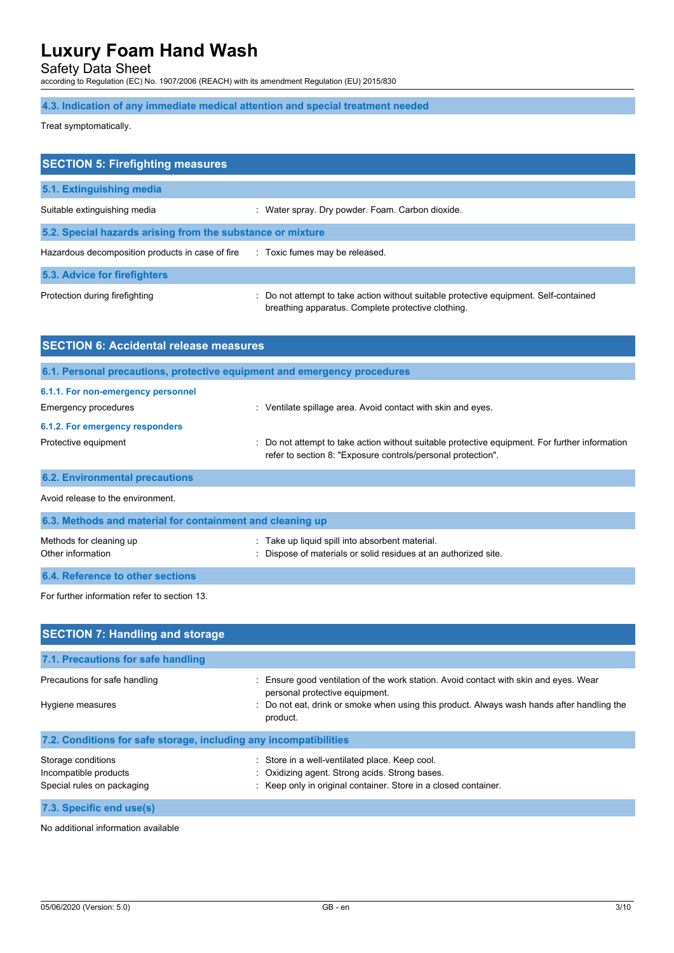Safety Data Sheet

according to Regulation (EC) No. 1907/2006 (REACH) with its amendment Regulation (EU) 2015/830

**4.3. Indication of any immediate medical attention and special treatment needed**

Treat symptomatically.

| <b>SECTION 5: Firefighting measures</b>                    |                                                                                                                                             |  |
|------------------------------------------------------------|---------------------------------------------------------------------------------------------------------------------------------------------|--|
| 5.1. Extinguishing media                                   |                                                                                                                                             |  |
| Suitable extinguishing media                               | : Water spray. Dry powder. Foam. Carbon dioxide.                                                                                            |  |
| 5.2. Special hazards arising from the substance or mixture |                                                                                                                                             |  |
| Hazardous decomposition products in case of fire           | : Toxic fumes may be released.                                                                                                              |  |
| 5.3. Advice for firefighters                               |                                                                                                                                             |  |
| Protection during firefighting                             | : Do not attempt to take action without suitable protective equipment. Self-contained<br>breathing apparatus. Complete protective clothing. |  |

| <b>SECTION 6: Accidental release measures</b>                     |                                                                                                                                                                |  |
|-------------------------------------------------------------------|----------------------------------------------------------------------------------------------------------------------------------------------------------------|--|
|                                                                   | 6.1. Personal precautions, protective equipment and emergency procedures                                                                                       |  |
| 6.1.1. For non-emergency personnel<br><b>Emergency procedures</b> | : Ventilate spillage area. Avoid contact with skin and eyes.                                                                                                   |  |
| 6.1.2. For emergency responders                                   |                                                                                                                                                                |  |
| Protective equipment                                              | : Do not attempt to take action without suitable protective equipment. For further information<br>refer to section 8: "Exposure controls/personal protection". |  |
| <b>6.2. Environmental precautions</b>                             |                                                                                                                                                                |  |
| Avoid release to the environment.                                 |                                                                                                                                                                |  |
| C 2 Methodo and motorial for containment and classica un          |                                                                                                                                                                |  |

| <b>U.J. MCMOUS AND MACHALIST CONTAINING AND COMMUNISTIES</b> |                                                                                                                  |  |
|--------------------------------------------------------------|------------------------------------------------------------------------------------------------------------------|--|
| Methods for cleaning up<br>Other information                 | Take up liquid spill into absorbent material.<br>: Dispose of materials or solid residues at an authorized site. |  |
| 6.4. Reference to other sections                             |                                                                                                                  |  |

For further information refer to section 13.

| <b>SECTION 7: Handling and storage</b>                            |                                                                                                                         |  |  |
|-------------------------------------------------------------------|-------------------------------------------------------------------------------------------------------------------------|--|--|
|                                                                   |                                                                                                                         |  |  |
| 7.1. Precautions for safe handling                                |                                                                                                                         |  |  |
| Precautions for safe handling                                     | : Ensure good ventilation of the work station. Avoid contact with skin and eyes. Wear<br>personal protective equipment. |  |  |
| Hygiene measures                                                  | : Do not eat, drink or smoke when using this product. Always wash hands after handling the<br>product.                  |  |  |
| 7.2. Conditions for safe storage, including any incompatibilities |                                                                                                                         |  |  |
| Storage conditions                                                | Store in a well-ventilated place. Keep cool.                                                                            |  |  |
| Incompatible products                                             | : Oxidizing agent. Strong acids. Strong bases.                                                                          |  |  |
| Special rules on packaging                                        | : Keep only in original container. Store in a closed container.                                                         |  |  |
| 7.3. Specific end use(s)                                          |                                                                                                                         |  |  |

No additional information available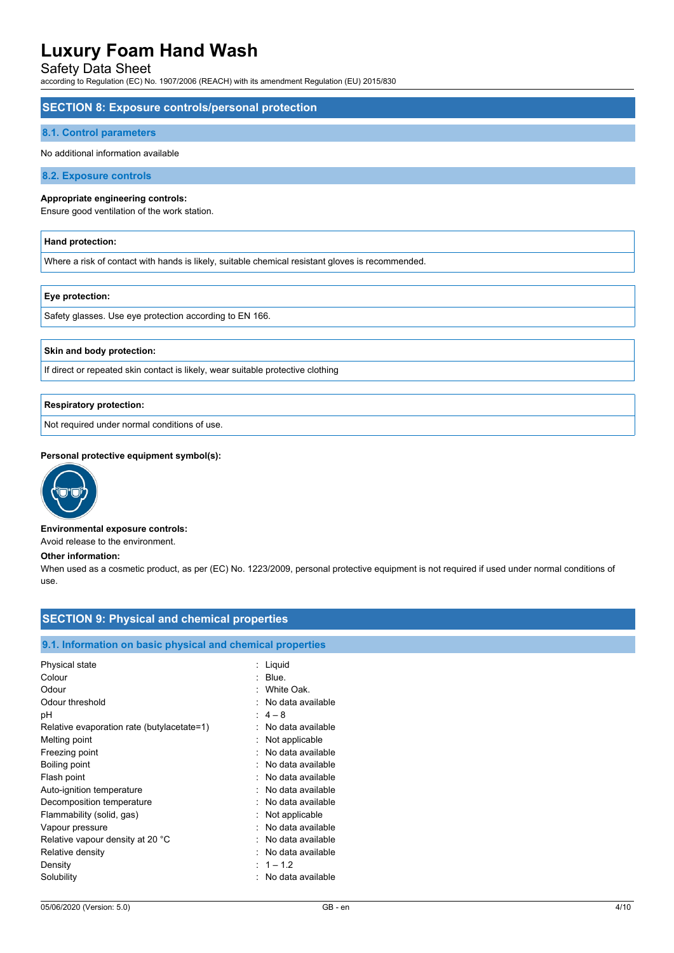### Safety Data Sheet

according to Regulation (EC) No. 1907/2006 (REACH) with its amendment Regulation (EU) 2015/830

#### **SECTION 8: Exposure controls/personal protection**

#### **8.1. Control parameters**

#### No additional information available

**8.2. Exposure controls**

#### **Appropriate engineering controls:**

Ensure good ventilation of the work station.

#### **Hand protection:**

Where a risk of contact with hands is likely, suitable chemical resistant gloves is recommended.

#### **Eye protection:**

Safety glasses. Use eye protection according to EN 166.

#### **Skin and body protection:**

If direct or repeated skin contact is likely, wear suitable protective clothing

#### **Respiratory protection:**

Not required under normal conditions of use.

#### **Personal protective equipment symbol(s):**



#### **Environmental exposure controls:**

Avoid release to the environment.

#### **Other information:**

When used as a cosmetic product, as per (EC) No. 1223/2009, personal protective equipment is not required if used under normal conditions of use.

## **SECTION 9: Physical and chemical properties**

#### **9.1. Information on basic physical and chemical properties**

| Physical state                             | : Liguid            |
|--------------------------------------------|---------------------|
| Colour                                     | $\therefore$ Blue.  |
| Odour                                      | : White Oak.        |
| Odour threshold                            | No data available   |
| рH                                         | $: 4-8$             |
| Relative evaporation rate (butylacetate=1) | No data available   |
| Melting point                              | Not applicable      |
| Freezing point                             | No data available   |
| Boiling point                              | No data available   |
| Flash point                                | No data available   |
| Auto-ignition temperature                  | No data available   |
| Decomposition temperature                  | : No data available |
| Flammability (solid, gas)                  | Not applicable      |
| Vapour pressure                            | No data available   |
| Relative vapour density at 20 °C           | No data available   |
| Relative density                           | No data available   |
| Density                                    | $: 1 - 1.2$         |
| Solubility                                 | No data available   |
|                                            |                     |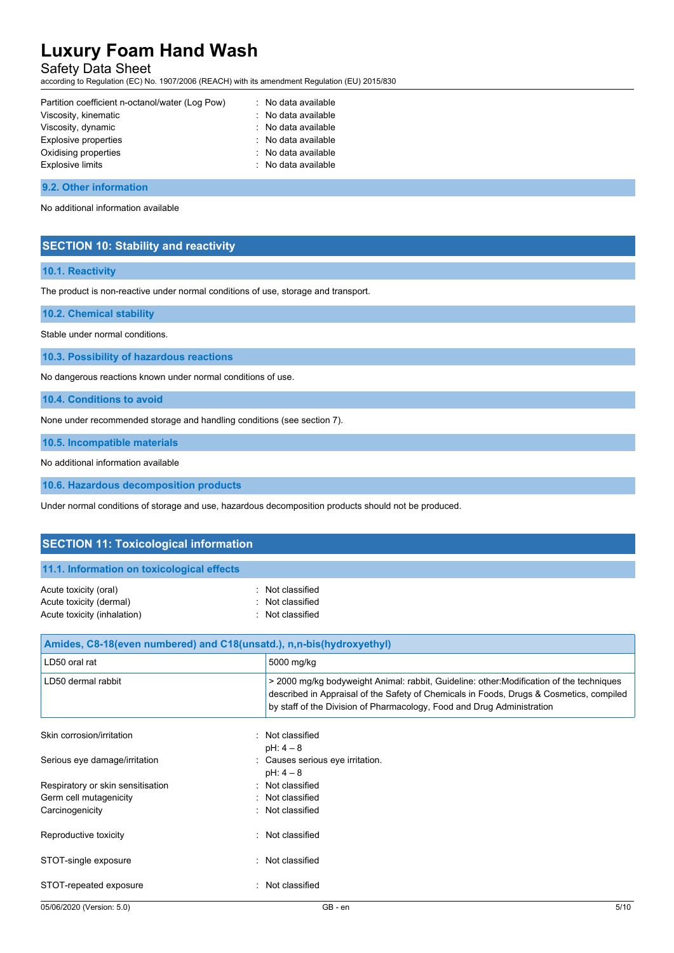Safety Data Sheet

according to Regulation (EC) No. 1907/2006 (REACH) with its amendment Regulation (EU) 2015/830

| Partition coefficient n-octanol/water (Log Pow) | : No data available |
|-------------------------------------------------|---------------------|
| Viscosity, kinematic                            | : No data available |
| Viscosity, dynamic                              | : No data available |
| Explosive properties                            | : No data available |
| Oxidising properties                            | : No data available |
| <b>Explosive limits</b>                         | : No data available |

#### **9.2. Other information**

No additional information available

### **SECTION 10: Stability and reactivity**

#### **10.1. Reactivity**

The product is non-reactive under normal conditions of use, storage and transport.

#### **10.2. Chemical stability**

Stable under normal conditions.

#### **10.3. Possibility of hazardous reactions**

No dangerous reactions known under normal conditions of use.

**10.4. Conditions to avoid**

None under recommended storage and handling conditions (see section 7).

**10.5. Incompatible materials**

No additional information available

**10.6. Hazardous decomposition products**

Under normal conditions of storage and use, hazardous decomposition products should not be produced.

| <b>SECTION 11: Toxicological information</b>                                    |                                                          |  |
|---------------------------------------------------------------------------------|----------------------------------------------------------|--|
| 11.1. Information on toxicological effects                                      |                                                          |  |
| Acute toxicity (oral)<br>Acute toxicity (dermal)<br>Acute toxicity (inhalation) | : Not classified<br>: Not classified<br>: Not classified |  |
| Amides, C8-18(even numbered) and C18(unsatd.), n,n-bis(hydroxyethyl)            |                                                          |  |
| LD50 oral rat                                                                   | 5000 mg/kg                                               |  |

| <b>SUUU mg/kg</b>                                                                                                                                                                                                                                             |
|---------------------------------------------------------------------------------------------------------------------------------------------------------------------------------------------------------------------------------------------------------------|
| > 2000 mg/kg bodyweight Animal: rabbit, Guideline: other: Modification of the techniques<br>described in Appraisal of the Safety of Chemicals in Foods, Drugs & Cosmetics, compiled<br>by staff of the Division of Pharmacology, Food and Drug Administration |
| : Not classified<br>$pH: 4-8$                                                                                                                                                                                                                                 |
| : Causes serious eye irritation.                                                                                                                                                                                                                              |
| $pH: 4-8$                                                                                                                                                                                                                                                     |
| : Not classified                                                                                                                                                                                                                                              |
| : Not classified                                                                                                                                                                                                                                              |
| : Not classified                                                                                                                                                                                                                                              |
| Not classified                                                                                                                                                                                                                                                |
| : Not classified                                                                                                                                                                                                                                              |
| Not classified                                                                                                                                                                                                                                                |
| ٠.                                                                                                                                                                                                                                                            |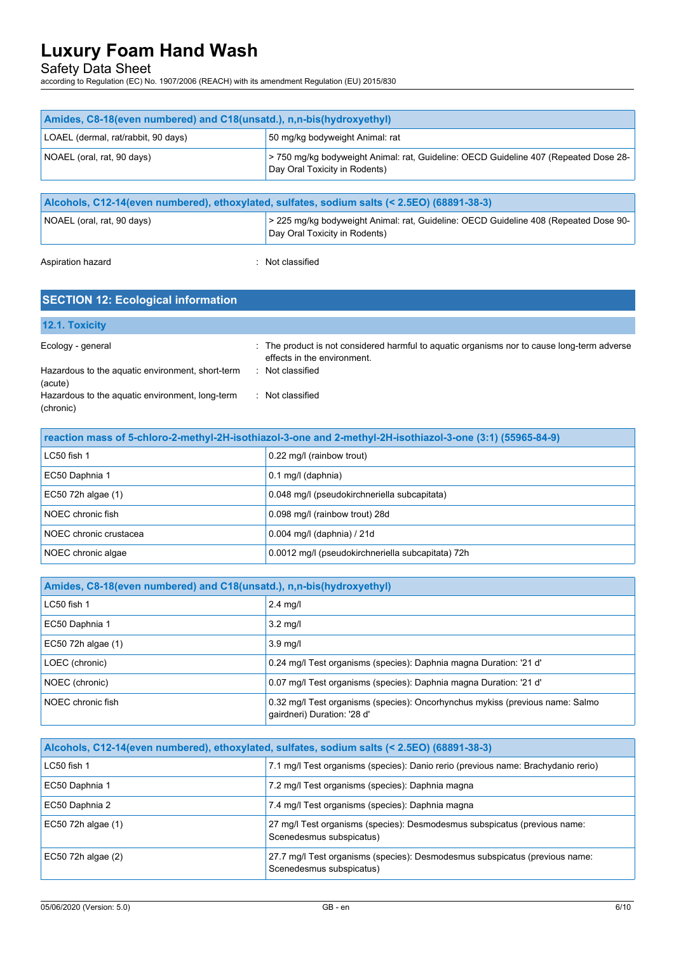Safety Data Sheet

according to Regulation (EC) No. 1907/2006 (REACH) with its amendment Regulation (EU) 2015/830

| Amides, C8-18(even numbered) and C18(unsatd.), n,n-bis(hydroxyethyl)                        |                                                                                                                       |  |
|---------------------------------------------------------------------------------------------|-----------------------------------------------------------------------------------------------------------------------|--|
| LOAEL (dermal, rat/rabbit, 90 days)                                                         | 50 mg/kg bodyweight Animal: rat                                                                                       |  |
| NOAEL (oral, rat, 90 days)                                                                  | >750 mg/kg bodyweight Animal: rat, Guideline: OECD Guideline 407 (Repeated Dose 28-<br>Day Oral Toxicity in Rodents)  |  |
|                                                                                             |                                                                                                                       |  |
| Alcohols, C12-14(even numbered), ethoxylated, sulfates, sodium salts (< 2.5EO) (68891-38-3) |                                                                                                                       |  |
| NOAEL (oral, rat, 90 days)                                                                  | > 225 mg/kg bodyweight Animal: rat, Guideline: OECD Guideline 408 (Repeated Dose 90-<br>Day Oral Toxicity in Rodents) |  |
|                                                                                             |                                                                                                                       |  |

Aspiration hazard **in the case of the Case of the Case of the Case of the Case of the Case of the Case of the Case of the Case of the Case of the Case of the Case of the Case of the Case of the Case of the Case of the Case** 

| <b>SECTION 12: Ecological information</b>                    |                                                                                                                            |  |
|--------------------------------------------------------------|----------------------------------------------------------------------------------------------------------------------------|--|
| 12.1. Toxicity                                               |                                                                                                                            |  |
| Ecology - general                                            | : The product is not considered harmful to aquatic organisms nor to cause long-term adverse<br>effects in the environment. |  |
| Hazardous to the aquatic environment, short-term<br>(acute)  | : Not classified                                                                                                           |  |
| Hazardous to the aquatic environment, long-term<br>(chronic) | : Not classified                                                                                                           |  |

| reaction mass of 5-chloro-2-methyl-2H-isothiazol-3-one and 2-methyl-2H-isothiazol-3-one (3:1) (55965-84-9) |                                                   |  |
|------------------------------------------------------------------------------------------------------------|---------------------------------------------------|--|
| LC50 fish 1                                                                                                | 0.22 mg/l (rainbow trout)                         |  |
| EC50 Daphnia 1                                                                                             | 0.1 mg/l (daphnia)                                |  |
| EC50 72h algae (1)                                                                                         | 0.048 mg/l (pseudokirchneriella subcapitata)      |  |
| NOEC chronic fish                                                                                          | 0.098 mg/l (rainbow trout) 28d                    |  |
| NOEC chronic crustacea                                                                                     | $0.004$ mg/l (daphnia) / 21d                      |  |
| NOEC chronic algae                                                                                         | 0.0012 mg/l (pseudokirchneriella subcapitata) 72h |  |

| Amides, C8-18(even numbered) and C18(unsatd.), n,n-bis(hydroxyethyl) |                                                                                                              |
|----------------------------------------------------------------------|--------------------------------------------------------------------------------------------------------------|
| LC50 fish 1                                                          | $2.4$ mg/l                                                                                                   |
| EC50 Daphnia 1                                                       | $3.2 \text{ mq/l}$                                                                                           |
| EC50 72h algae (1)                                                   | $3.9$ mg/l                                                                                                   |
| LOEC (chronic)                                                       | 0.24 mg/l Test organisms (species): Daphnia magna Duration: '21 d'                                           |
| NOEC (chronic)                                                       | 0.07 mg/l Test organisms (species): Daphnia magna Duration: '21 d'                                           |
| NOEC chronic fish                                                    | 0.32 mg/l Test organisms (species): Oncorhynchus mykiss (previous name: Salmo<br>gairdneri) Duration: '28 d' |

| Alcohols, C12-14(even numbered), ethoxylated, sulfates, sodium salts (< 2.5EO) (68891-38-3) |                                                                                                         |
|---------------------------------------------------------------------------------------------|---------------------------------------------------------------------------------------------------------|
| $LC50$ fish 1                                                                               | 7.1 mg/l Test organisms (species): Danio rerio (previous name: Brachydanio rerio)                       |
| EC50 Daphnia 1                                                                              | 7.2 mg/l Test organisms (species): Daphnia magna                                                        |
| EC50 Daphnia 2                                                                              | 7.4 mg/l Test organisms (species): Daphnia magna                                                        |
| EC50 72h algae (1)                                                                          | 27 mg/l Test organisms (species): Desmodesmus subspicatus (previous name:<br>Scenedesmus subspicatus)   |
| EC50 72h algae (2)                                                                          | 27.7 mg/l Test organisms (species): Desmodesmus subspicatus (previous name:<br>Scenedesmus subspicatus) |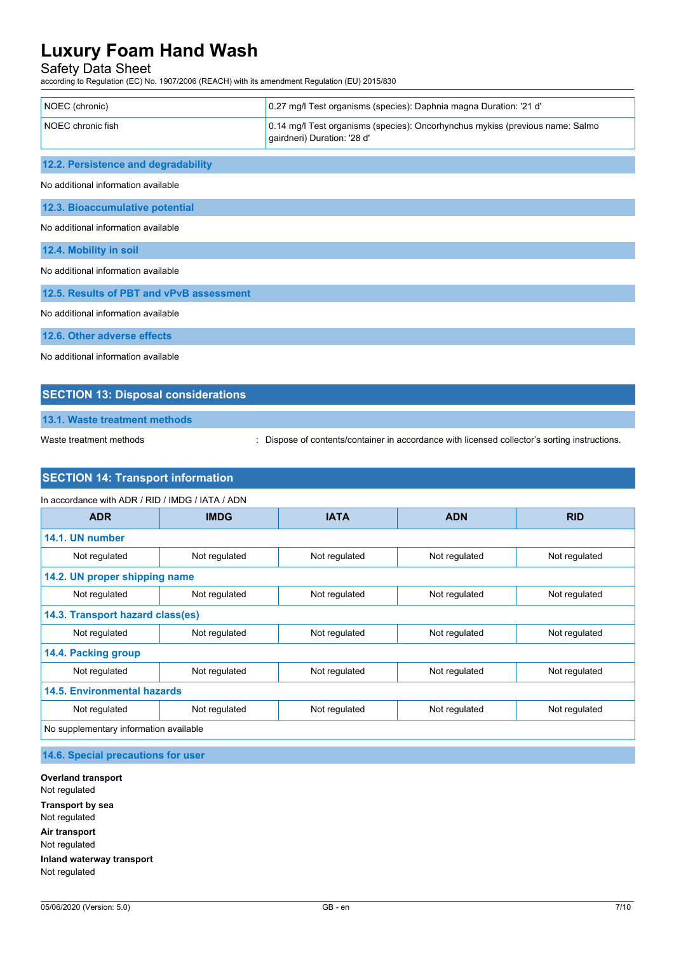## Safety Data Sheet

according to Regulation (EC) No. 1907/2006 (REACH) with its amendment Regulation (EU) 2015/830

| NOEC (chronic)                           | 0.27 mg/l Test organisms (species): Daphnia magna Duration: '21 d'                                           |
|------------------------------------------|--------------------------------------------------------------------------------------------------------------|
| NOEC chronic fish                        | 0.14 mg/l Test organisms (species): Oncorhynchus mykiss (previous name: Salmo<br>gairdneri) Duration: '28 d' |
| 12.2. Persistence and degradability      |                                                                                                              |
| No additional information available      |                                                                                                              |
| 12.3. Bioaccumulative potential          |                                                                                                              |
| No additional information available      |                                                                                                              |
| 12.4. Mobility in soil                   |                                                                                                              |
| No additional information available      |                                                                                                              |
| 12.5. Results of PBT and vPvB assessment |                                                                                                              |
| No additional information available      |                                                                                                              |
| 12.6. Other adverse effects              |                                                                                                              |
| No additional information available      |                                                                                                              |

## **SECTION 13: Disposal considerations**

**13.1. Waste treatment methods**

Waste treatment methods : Dispose of contents/container in accordance with licensed collector's sorting instructions.

### **SECTION 14: Transport information**

| In accordance with ADR / RID / IMDG / IATA / ADN |               |               |               |               |
|--------------------------------------------------|---------------|---------------|---------------|---------------|
| <b>ADR</b>                                       | <b>IMDG</b>   | <b>IATA</b>   | <b>ADN</b>    | <b>RID</b>    |
| 14.1. UN number                                  |               |               |               |               |
| Not regulated                                    | Not regulated | Not regulated | Not regulated | Not regulated |
| 14.2. UN proper shipping name                    |               |               |               |               |
| Not regulated                                    | Not regulated | Not regulated | Not regulated | Not regulated |
| 14.3. Transport hazard class(es)                 |               |               |               |               |
| Not regulated                                    | Not regulated | Not regulated | Not regulated | Not regulated |
| 14.4. Packing group                              |               |               |               |               |
| Not regulated                                    | Not regulated | Not regulated | Not regulated | Not regulated |
| <b>14.5. Environmental hazards</b>               |               |               |               |               |
| Not regulated                                    | Not regulated | Not regulated | Not regulated | Not regulated |
| No supplementary information available           |               |               |               |               |

**14.6. Special precautions for user**

**Overland transport** Not regulated **Transport by sea** Not regulated **Air transport** Not regulated **Inland waterway transport** Not regulated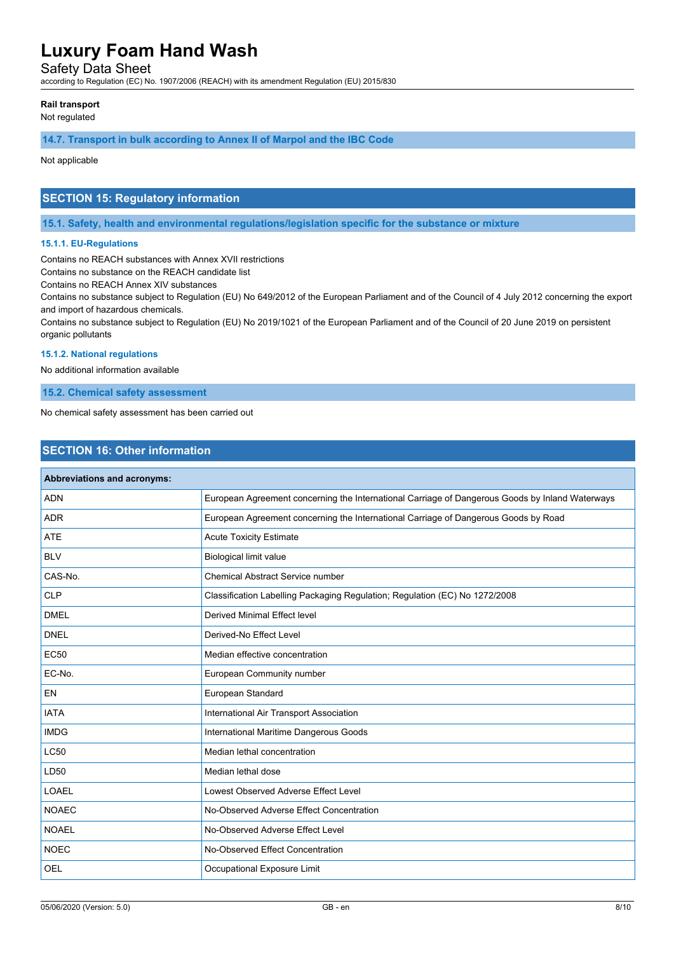Safety Data Sheet

according to Regulation (EC) No. 1907/2006 (REACH) with its amendment Regulation (EU) 2015/830

#### **Rail transport**

Not regulated

#### **14.7. Transport in bulk according to Annex II of Marpol and the IBC Code**

Not applicable

### **SECTION 15: Regulatory information**

**15.1. Safety, health and environmental regulations/legislation specific for the substance or mixture**

#### **15.1.1. EU-Regulations**

Contains no REACH substances with Annex XVII restrictions

Contains no substance on the REACH candidate list

Contains no REACH Annex XIV substances

Contains no substance subject to Regulation (EU) No 649/2012 of the European Parliament and of the Council of 4 July 2012 concerning the export and import of hazardous chemicals.

Contains no substance subject to Regulation (EU) No 2019/1021 of the European Parliament and of the Council of 20 June 2019 on persistent organic pollutants

#### **15.1.2. National regulations**

No additional information available

**15.2. Chemical safety assessment**

No chemical safety assessment has been carried out

### **SECTION 16: Other information**

| Abbreviations and acronyms: |                                                                                                 |
|-----------------------------|-------------------------------------------------------------------------------------------------|
| <b>ADN</b>                  | European Agreement concerning the International Carriage of Dangerous Goods by Inland Waterways |
| <b>ADR</b>                  | European Agreement concerning the International Carriage of Dangerous Goods by Road             |
| <b>ATE</b>                  | <b>Acute Toxicity Estimate</b>                                                                  |
| <b>BLV</b>                  | <b>Biological limit value</b>                                                                   |
| CAS-No.                     | <b>Chemical Abstract Service number</b>                                                         |
| <b>CLP</b>                  | Classification Labelling Packaging Regulation; Regulation (EC) No 1272/2008                     |
| <b>DMEL</b>                 | <b>Derived Minimal Effect level</b>                                                             |
| <b>DNEL</b>                 | Derived-No Effect Level                                                                         |
| <b>EC50</b>                 | Median effective concentration                                                                  |
| EC-No.                      | European Community number                                                                       |
| EN                          | European Standard                                                                               |
| <b>IATA</b>                 | International Air Transport Association                                                         |
| <b>IMDG</b>                 | International Maritime Dangerous Goods                                                          |
| <b>LC50</b>                 | Median lethal concentration                                                                     |
| LD50                        | Median lethal dose                                                                              |
| <b>LOAEL</b>                | Lowest Observed Adverse Effect Level                                                            |
| <b>NOAEC</b>                | No-Observed Adverse Effect Concentration                                                        |
| <b>NOAEL</b>                | No-Observed Adverse Effect Level                                                                |
| <b>NOEC</b>                 | No-Observed Effect Concentration                                                                |
| <b>OEL</b>                  | Occupational Exposure Limit                                                                     |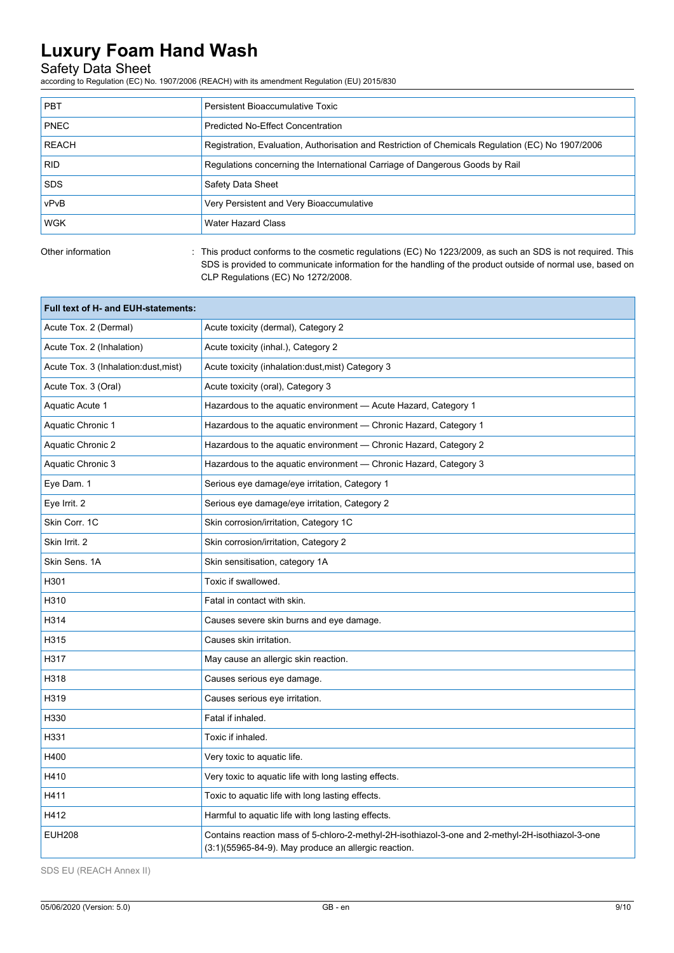### Safety Data Sheet

according to Regulation (EC) No. 1907/2006 (REACH) with its amendment Regulation (EU) 2015/830

| <b>PBT</b>   | Persistent Bioaccumulative Toxic                                                                  |
|--------------|---------------------------------------------------------------------------------------------------|
| <b>PNEC</b>  | <b>Predicted No-Effect Concentration</b>                                                          |
| <b>REACH</b> | Registration, Evaluation, Authorisation and Restriction of Chemicals Regulation (EC) No 1907/2006 |
| <b>RID</b>   | Regulations concerning the International Carriage of Dangerous Goods by Rail                      |
| <b>SDS</b>   | Safety Data Sheet                                                                                 |
| vPvB         | Very Persistent and Very Bioaccumulative                                                          |
| <b>WGK</b>   | <b>Water Hazard Class</b>                                                                         |
|              |                                                                                                   |

Other information : This product conforms to the cosmetic regulations (EC) No 1223/2009, as such an SDS is not required. This SDS is provided to communicate information for the handling of the product outside of normal use, based on CLP Regulations (EC) No 1272/2008.

| Full text of H- and EUH-statements:   |                                                                                                                                                          |
|---------------------------------------|----------------------------------------------------------------------------------------------------------------------------------------------------------|
| Acute Tox. 2 (Dermal)                 | Acute toxicity (dermal), Category 2                                                                                                                      |
| Acute Tox. 2 (Inhalation)             | Acute toxicity (inhal.), Category 2                                                                                                                      |
| Acute Tox. 3 (Inhalation: dust, mist) | Acute toxicity (inhalation: dust, mist) Category 3                                                                                                       |
| Acute Tox. 3 (Oral)                   | Acute toxicity (oral), Category 3                                                                                                                        |
| Aquatic Acute 1                       | Hazardous to the aquatic environment - Acute Hazard, Category 1                                                                                          |
| <b>Aquatic Chronic 1</b>              | Hazardous to the aquatic environment - Chronic Hazard, Category 1                                                                                        |
| <b>Aquatic Chronic 2</b>              | Hazardous to the aquatic environment - Chronic Hazard, Category 2                                                                                        |
| Aquatic Chronic 3                     | Hazardous to the aquatic environment - Chronic Hazard, Category 3                                                                                        |
| Eye Dam. 1                            | Serious eye damage/eye irritation, Category 1                                                                                                            |
| Eye Irrit. 2                          | Serious eye damage/eye irritation, Category 2                                                                                                            |
| Skin Corr. 1C                         | Skin corrosion/irritation, Category 1C                                                                                                                   |
| Skin Irrit, 2                         | Skin corrosion/irritation, Category 2                                                                                                                    |
| Skin Sens, 1A                         | Skin sensitisation, category 1A                                                                                                                          |
| H301                                  | Toxic if swallowed.                                                                                                                                      |
| H310                                  | Fatal in contact with skin.                                                                                                                              |
| H314                                  | Causes severe skin burns and eye damage.                                                                                                                 |
| H315                                  | Causes skin irritation.                                                                                                                                  |
| H317                                  | May cause an allergic skin reaction.                                                                                                                     |
| H318                                  | Causes serious eye damage.                                                                                                                               |
| H319                                  | Causes serious eye irritation.                                                                                                                           |
| H330                                  | Fatal if inhaled.                                                                                                                                        |
| H331                                  | Toxic if inhaled.                                                                                                                                        |
| H400                                  | Very toxic to aquatic life.                                                                                                                              |
| H410                                  | Very toxic to aquatic life with long lasting effects.                                                                                                    |
| H411                                  | Toxic to aquatic life with long lasting effects.                                                                                                         |
| H412                                  | Harmful to aquatic life with long lasting effects.                                                                                                       |
| <b>EUH208</b>                         | Contains reaction mass of 5-chloro-2-methyl-2H-isothiazol-3-one and 2-methyl-2H-isothiazol-3-one<br>(3:1)(55965-84-9). May produce an allergic reaction. |

SDS EU (REACH Annex II)